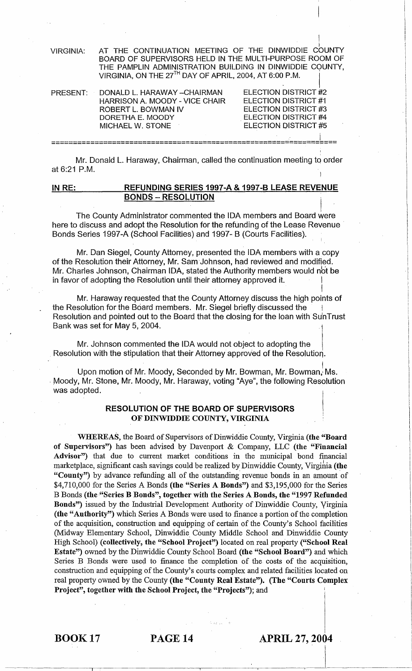VIRGINIA: AT THE CONTINUATION MEETING OF THE DINWIDDIE COUNTY BOARD OF SUPERVISORS HELD IN THE MULTI-PURPOSE ROOM OF THE PAMPLIN ADMINISTRATION BUILDING IN DINWIDDIE COUNTY, VIRGINIA, ON THE 27<sup>TH</sup> DAY OF APRIL, 2004, AT 6:00 P.M.

I

PRESENT: DONALD L. HARAWAY -- CHAIRMAN ELECTION DISTRICT #2 HARRISON A. MOODY - VICE CHAIR ELECTION DISTRICT #1 ROBERT L. BOWMAN IV<br>DORETHA E. MOODY ELECTION DISTRICT #4<br>ELECTION DISTRICT #5 MICHAEL W. STONE

Mr. Donald L. Haraway, Chairman, called the continuation meeting to order at 6:21 P.M.

==============================================================L===

## IN RE: REFUNDING SERIES 1997-A & 1997-B LEASE REVENUE **BONDS - RESOLUTION**

I The County Administrator commented the IDA members and Board were here to discuss and adopt the Resolution for the refunding of the Lease Revenue Bonds Series 1997-A (School Facilities) and 1997- B (Courts Facilities).

Mr. Dan Siegel, County Attorney, presented the IDA members with a copy of the Resolution their Attorney, Mr. Sam Johnson, had reviewed and modified. Mr. Charles Johnson, Chairman IDA, stated the Authority members would not be in favor of adopting the Resolution until their attorney approved it.

I Mr. Haraway requested that the County Attorney discuss the high points of the Resolution for the Board members. Mr. Siegel briefly discussed the Resolution and pointed out to the Board that the closing for the loan with Su'nTrust Bank was set for May 5, 2004.

Mr. Johnson commented the IDA would not object to adopting the Resolution with the stipulation that their Attorney approved of the Resolution.

Upon motion of Mr. Moody, Seconded by Mr. Bowman, Mr. Bowman, Ms. . Moody, Mr. Stone, Mr. Moody, Mr. Haraway, voting "Aye", the following Resolution was adopted.

## RESOLUTION OF THE BOARD OF SUPERVISORS OF DINWIDDIE COUNTY, VIRGINIA

WHEREAS, the Board of Supervisors of Dinwiddie County, Virginia (the "Board of Supervisors") has been advised by Davenport & Company, LLC (the "Financial Advisor") that due to current market conditions in the municipal bond financial marketplace, significant cash savings could be realized by Dinwiddie County, Virginia (the "County") by advance refunding all of the outstanding revenue bonds in an amount of \$4,710,000 for the Series A Bonds (the "Series A Bonds") and \$3,195,000 for the Series B Bonds (the ·"Series B Bonds", together with the Series A Bonds, the "1997 Refunded Bonds") issued by the fudustrial Development Authority of Dinwiddie County, Virginia (the "Authority") which Series A Bonds were used to finance a portion of the completion of the acquisition, construction and equipping of certain of the County's School facilities (Midway Elementary School, Dinwiddie County Middle School and Dinwiddie County High School) (collectively, the "School Project") located on real property ("School Real Estate") owned by the Dinwiddie County School Board (the "School Board") and which Series B Bonds were used to finance the completion of the costs of the acquisition, construction and equipping of the County's courts complex and related facilities located on real property owned by the County (the "County Real Estate"). (The "Courts Complex Project", together with the School Project, the "Projects"); and

BOOK 17 PAGE 14 APRIL 27, 2004

 $\overline{\phantom{a}}$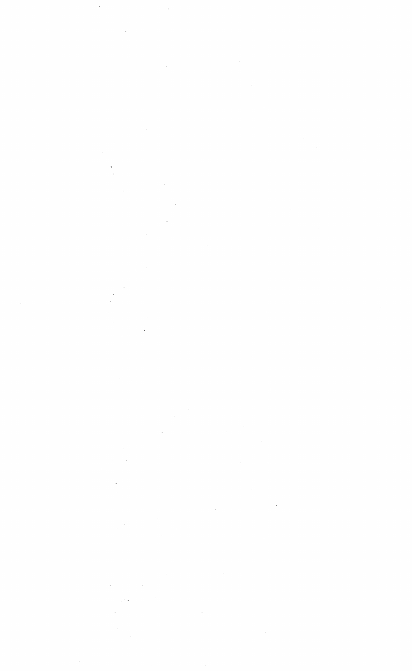$\mathcal{L}^{\text{max}}_{\text{max}}$ 

 $\frac{1}{2}$ 

 $\frac{1}{2} \frac{1}{2} \frac{1}{2}$  $\label{eq:2} \frac{1}{2} \sum_{i=1}^n \frac{1}{2} \sum_{j=1}^n \frac{1}{2} \sum_{j=1}^n \frac{1}{2} \sum_{j=1}^n \frac{1}{2} \sum_{j=1}^n \frac{1}{2} \sum_{j=1}^n \frac{1}{2} \sum_{j=1}^n \frac{1}{2} \sum_{j=1}^n \frac{1}{2} \sum_{j=1}^n \frac{1}{2} \sum_{j=1}^n \frac{1}{2} \sum_{j=1}^n \frac{1}{2} \sum_{j=1}^n \frac{1}{2} \sum_{j=1}^n \frac{1}{$  $\label{eq:2.1} \frac{1}{\sqrt{2}}\int_{\mathbb{R}^3}\frac{1}{\sqrt{2}}\left(\frac{1}{\sqrt{2}}\right)^2\frac{1}{\sqrt{2}}\left(\frac{1}{\sqrt{2}}\right)^2\frac{1}{\sqrt{2}}\left(\frac{1}{\sqrt{2}}\right)^2\frac{1}{\sqrt{2}}\left(\frac{1}{\sqrt{2}}\right)^2\frac{1}{\sqrt{2}}\left(\frac{1}{\sqrt{2}}\right)^2\frac{1}{\sqrt{2}}\frac{1}{\sqrt{2}}\frac{1}{\sqrt{2}}\frac{1}{\sqrt{2}}\frac{1}{\sqrt{2}}\frac{1}{\sqrt{2}}$  $\label{eq:2.1} \frac{1}{\sqrt{2}}\int_{\mathbb{R}^3}\frac{1}{\sqrt{2}}\left(\frac{1}{\sqrt{2}}\right)^2\frac{1}{\sqrt{2}}\left(\frac{1}{\sqrt{2}}\right)^2\frac{1}{\sqrt{2}}\left(\frac{1}{\sqrt{2}}\right)^2.$  $\label{eq:2.1} \frac{1}{\sqrt{2}}\int_{\mathbb{R}^3} \frac{1}{\sqrt{2}}\left(\frac{1}{\sqrt{2}}\right)^2\frac{1}{\sqrt{2}}\left(\frac{1}{\sqrt{2}}\right)^2\frac{1}{\sqrt{2}}\left(\frac{1}{\sqrt{2}}\right)^2.$ 

 $\label{eq:2} \frac{1}{\sqrt{2}}\int_{0}^{\infty} \frac{1}{\sqrt{2\pi}}\left(\frac{1}{\sqrt{2\pi}}\right)^{2} \frac{1}{\sqrt{2\pi}}\int_{0}^{\infty} \frac{1}{\sqrt{2\pi}}\left(\frac{1}{\sqrt{2\pi}}\right)^{2} \frac{1}{\sqrt{2\pi}}\int_{0}^{\infty} \frac{1}{\sqrt{2\pi}}\frac{1}{\sqrt{2\pi}}\frac{1}{\sqrt{2\pi}}\frac{1}{\sqrt{2\pi}}\frac{1}{\sqrt{2\pi}}\frac{1}{\sqrt{2\pi}}\frac{1}{\sqrt{2\pi}}\$  $\sim$   $\sim$ 

 $\label{eq:2.1} \frac{1}{\sqrt{2}}\left(\frac{1}{\sqrt{2}}\right)^{2} \left(\frac{1}{\sqrt{2}}\right)^{2} \left(\frac{1}{\sqrt{2}}\right)^{2} \left(\frac{1}{\sqrt{2}}\right)^{2} \left(\frac{1}{\sqrt{2}}\right)^{2} \left(\frac{1}{\sqrt{2}}\right)^{2} \left(\frac{1}{\sqrt{2}}\right)^{2} \left(\frac{1}{\sqrt{2}}\right)^{2} \left(\frac{1}{\sqrt{2}}\right)^{2} \left(\frac{1}{\sqrt{2}}\right)^{2} \left(\frac{1}{\sqrt{2}}\right)^{2} \left(\$ 

 $\label{eq:2.1} \frac{1}{2} \sum_{i=1}^n \frac{1}{2} \sum_{j=1}^n \frac{1}{2} \sum_{j=1}^n \frac{1}{2} \sum_{j=1}^n \frac{1}{2} \sum_{j=1}^n \frac{1}{2} \sum_{j=1}^n \frac{1}{2} \sum_{j=1}^n \frac{1}{2} \sum_{j=1}^n \frac{1}{2} \sum_{j=1}^n \frac{1}{2} \sum_{j=1}^n \frac{1}{2} \sum_{j=1}^n \frac{1}{2} \sum_{j=1}^n \frac{1}{2} \sum_{j=1}^n \frac{$  $\Delta \sim 10^{-11}$  $\label{eq:2} \mathcal{L} = \mathcal{L} \left( \mathcal{L} \right) \mathcal{L} \left( \mathcal{L} \right)$  $\mathcal{L}^{\text{max}}_{\text{max}}$  and  $\mathcal{L}^{\text{max}}_{\text{max}}$  $\sim 10^6$ 

 $\label{eq:2.1} \frac{1}{\sqrt{2\pi}}\int_{0}^{\infty} \frac{1}{\sqrt{2\pi}}\,d\mu\,d\mu\,.$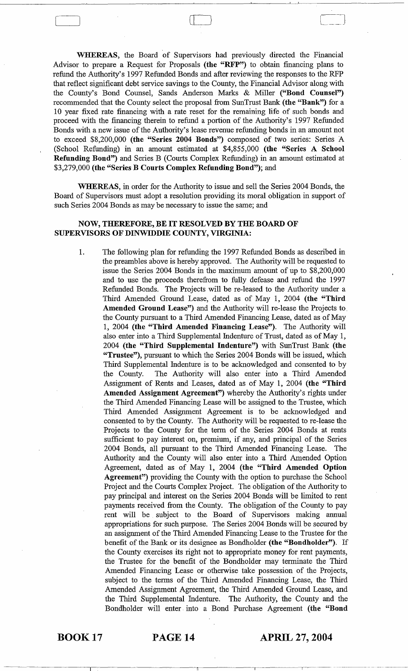WHEREAS, the Board of Supervisors had previously directed the Financial Advisor to prepare a Request for Proposals (the "RFP") to obtain financing plans to refund the Authority's 1997 Refunded Bonds and after reviewing the responses to the RFP that reflect significant debt service savings to the County, the Financial Advisor along with the County's Bond Counsel, Sands Anderson Marks & Miller ("Bond Counsel") recommended that the County select the proposal from SunTrust Bank (the "Bank") for a 10 year fixed rate financing with a rate reset for the remaining life of such bonds and proceed with the financing therein to refund a portion of the Authority's 1997 Refunded Bonds with a new issue of the Authority's lease revenue refunding bonds in an amount not to exceed \$8,200,000 (the "Series 2004 Bonds") composed of two series: Series A (School Refunding) in an amount estimated at \$4,855,000 (the "Series A School Refunding Bond") and Series B (Courts Complex Refunding) in an amount estimated at \$3,279,000 (the "Series B Courts Complex Refunding Bond"); and

WHEREAS, in order for the Authority to issue and sell the Series 2004 Bonds, the Board of Supervisors must adopt a resolution providing its moral obligation in support of such Series 2004 Bonds as may be necessary to issue the same; and

## NOW, THEREFORE, BE IT RESOLVED BY THE BOARD OF SUPERVISORS OF DINWIDDIE COUNTY, VIRGINIA:

1. The following plan for refunding the 1997 Refunded Bonds as described in the preambles above is hereby approved. The Authority will be requested to issue the Series 2004 Bonds in the maximum amount of up to \$8,200,000 and to use the proceeds therefrom to fully defease and refund the 1997 Refunded Bonds. The Projects will be re-Ieased to the Authority under a Third Amended Ground Lease, dated as of May 1, 2004 (the "Third Amended Ground Lease") and the Authority will re-lease the Projects to. the County pursuant to a Third Amended Financing Lease, dated as of May 1, 2004 (the "Third Amended Financing Lease"). The Authority will also enter into a Third Supplemental fudenture of Trust, dated as of May 1, 2004 (the "Third Supplemental Indenture") with SunTrust Bank (the "Trustee"), pursuant to which the Series 2004 Bonds will be issued, which Third Supplemental Indenture is to be acknowledged and consented to by the County. The Authority will also enter into a Third Amended Assignment of Rents and Leases, dated as of May 1, 2004 (the "Third Amended Assignment Agreement") whereby the Authority's rights under the Third Amended Financing Lease will be assigned to the Trustee, which Third Amended Assignment Agreement is to be acknowledged and consented to by the County. The Authority will be requested to re-lease the Projects to the County for the, tenn of the Series 2004 Bonds at rents sufficient to pay interest on, premium, if any, and principal of the Series 2004 Bonds, all pursuant to the Third Amended Financing Lease. The Authority and the County will also enter into a Third Amended Option Agreement, dated as of May 1, 2004 (the "Third Amended Option Agreement") providing the County with the option to purchase the School Project and the Courts Complex Project. The obligation of the Authority to pay principal and interest on the Series 2004 Bonds will be limited to rent payments received from the County. The obligation of the County to pay rent will be subject to the Board of Supervisors making annual appropriations for such purpose. The Series 2004 Bonds will be secured by an assignment of the Third Amended Financing Lease to the Trustee for the benefit of the Bank or its designee as Bondholder (the "Bondholder"). If the County exercises its right not to appropriate money for rent payments, the Trustee for the benefit of the Bondholder may tenninate the Third Amended Financing Lease or otherwise take possession of the Projects, subject to the tenns of the Third Amended Financing Lease, the Third Amended Assignment Agreement, the Third Amended Ground Lease, and the Third Supplemental fudenture. The Authority, the County and the Bondholder will enter. into a Bond Purchase Agreement (the "Bond

~~~~~-~-----~-~~~~~~-~--,,-~-~-~--~-~~~~ ... - ---~~

BOOK 17 PAGE 14 APRIL 27, 2004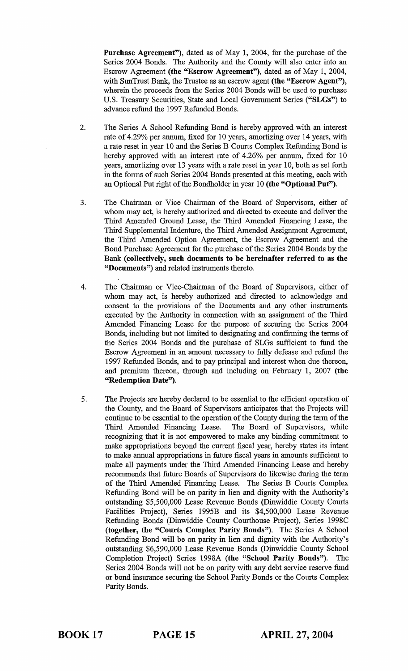Purchase Agreement"), dated as of May 1, 2004, for the purchase of the Series 2004 Bonds. The Authority and the County will also enter into an Escrow Agreement (the "Escrow Agreement"), dated as of May 1, 2004, with SunTrust Bank, the Trustee as an escrow agent (the "Escrow Agent"), wherein the proceeds from the Series 2004 Bonds will be used to purchase U.S. Treasury Securities, State and Local Government Series ("SLGs") to advance refund the 1997 Refunded Bonds.

- 2. The Series A School Refunding Bond is hereby approved with an interest rate of 4.29% per annum, fixed for 10 years, amortizing over 14 years, with a rate reset in year 10 and the Series B Courts Complex Refunding Bond is hereby approved with an interest rate of 4.26% per annum, fixed for 10 years, amortizing over 13 years with a rate reset in year 10, both as set forth in the forms of such Series 2004 Bonds presented at this meeting, each with an Optional Put right of the Bondholder in year 10 (the "Optional Put").
- 3. The Chairman or Vice Chairman of the Board of Supervisors, either of whom may act, is hereby authorized and directed to execute and deliver the Third Amended Ground Lease, the Third Amended Financing Lease, the Third Supplemental fudenture, the Third Amended Assignment Agreement, the Third Amended Option Agreement, the Escrow Agreement and the Bond Purchase Agreement for the purchase of the Series 2004 Bonds by the Bank (collectively, such documents to be hereinafter referred to as the "Documents") and related instruments thereto.
- 4. The Chairman or Vice-Chairman of the Board of Supervisors, either of whom may act, is hereby authorized and directed to acknowledge and consent to the provisions of the Documents and any other instruments executed by the Authority in connection with an assignment of the Third Amended Financing Lease for the purpose of securing the Series 2004 Bonds, including but not limited to designating and confirming the terms of the Series 2004 Bonds and the purchase of SLGs sufficient to fund the Escrow Agreement in an amount necessary to fully defease and refund the 1997 Refunded Bonds, and to pay principal and interest when due thereon, and premium thereon, through and including on February 1, 2007 (the "Redemption Date").
- 5. The Projects are hereby declared to be essential to the efficient operation of the County, and the Board of Supervisors anticipates that the Projects will continue to be essential to the operation of the County during the term of the Third Amended Financing Lease. The Board of Supervisors, while recognizing that it is not empowered to make any binding commitment to make appropriations beyond the current fiscal year, hereby states its intent to make annual appropriations in future fiscal years in amounts sufficient to make all payments under the Third Amended Financing Lease and hereby recommends that future Boards of Supervisors do likewise during the term of the Third Amended Financing Lease. The Series B Courts Complex Refunding Bond will be on parity in lien and dignity with the Authority's outstanding \$5,500,000 Lease Revenue Bonds (Dinwiddie County Courts Facilities Project), Series 1995B and its \$4,500,000 Lease Revenue Refunding Bonds (Dinwiddie County Courthouse Project), Series 1998C (together, the "Courts Complex Parity Bonds"). The Series A School Refunding Bond will be on parity in lien and dignity with the Authority's outstanding \$6,590,000 Lease Revenue Bonds (Dinwiddie County School Completion Project) Series 1998A (the "School Parity Bonds"). The Series 2004 Bonds will not be on parity with any debt service reserve fund or bond insurance securing the School Parity Bonds or the Courts Complex Parity Bonds.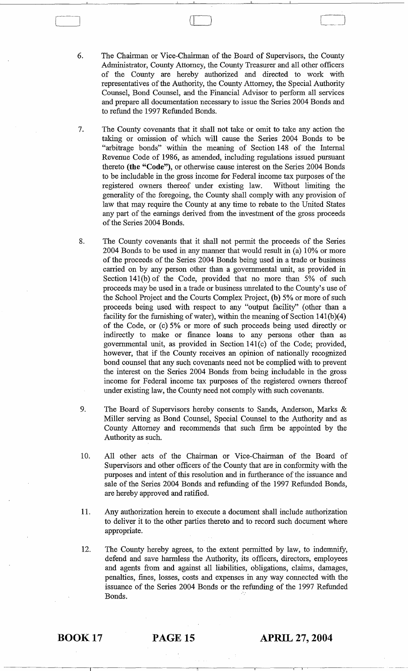- 6. The Chairman or Vice-Chairman of the Board of Supervisors, the County Administrator, County Attorney, the County Treasurer and all other officers of the County are hereby authorized and directed to work with representatives of the Authority, the County Attorney, the Special Authority Counsel, Bond Counsel, and the Financial Advisor to perform all services and prepare all documentation necessary to issue the Series 2004 Bonds and to refund the 1997 Refunded Bonds.
- 7. The County covenants that it shall not take or omit to take any action the taking or omission of which will cause the Series 2004 Bonds to be "arbitrage bonds" within the meaning of Section 148 of the Internal Revenue Code of 1986, as amended, including regulations issued pursuant thereto **(the** "Code"), or otherwise cause interest on the Series 2004 Bonds to be includable in the gross income for Federal income tax purposes of the registered owners thereof under existing law. Without limiting the registered owners thereof under existing law. generality of the foregoing, the County shall comply with any provision of law that may require the County at any time to rebate to the United States any part of the earnings derived from the investment of the gross proceeds of the Series 2004 Bonds.
- 8. The County covenants that it shall not permit the proceeds of the Series 2004 Bonds to be used in any manner that would result in (a) 10% or more of the proceeds of the Series 2004 Bonds being used in a trade or business carried on by any person other than a governmental unit, as provided in Section 141(b) of the Code, provided that no more than 5% of such proceeds may be used in a trade or business unrelated to the County's use of the School Project and the Courts Complex Project, (b) 5% or more of such proceeds being used with respect to any "output facility" (other than a facility for the furnishing of water), within the meaning of Section  $141(b)(4)$ of the Code, or (c) 5% or more of such proceeds being used directly or indirectly to make or finance loans to any persons other than as governmental unit, as provided in Section  $141(c)$  of the Code; provided, however, that if the County receives an opinion of nationally recognized bond counsel that any such covenants need not be complied with to prevent the interest on the Series 2004 Bonds from being includable in the gross income for Federal income tax purposes of the registered owners thereof under existing law, the County need not comply with such covenants.
- 9. The Board of Supervisors hereby consents to Sands, Anderson, Marks & Miller serving as Bond Counsel, Special Counsel to the Authority and as County Attorney and recommends that such firm be appointed by the Authority as such.
- 10. All other acts of the Chairman or Vice-Chairman of the Board of Supervisors and other officers of the County that are in conformity with the purposes and intent of this resolution and in furtherance of the issuance and sale of the Series 2004 Bonds and refunding of the 1997 Refunded Bonds, are hereby approved and ratified.
- 11. Any authorization herein to execute a document shall include authorization to deliver it to the other parties thereto and to record such document where appropriate.
- 12. The County hereby agrees, to the extent permitted by law, to indemnify, defend and save harmless the Authority, its officers, directors, employees and agents from and against all liabilities, obligations, claims, damages, penalties, fines, losses, costs and expenses in any way connected with the issuance of the Series 2004 Bonds or the refunding of the 1997 Refunded Bonds.

-------------,,--------------,-,--------

BOOK 17 **PAGE 15 APRIL 27, 2004**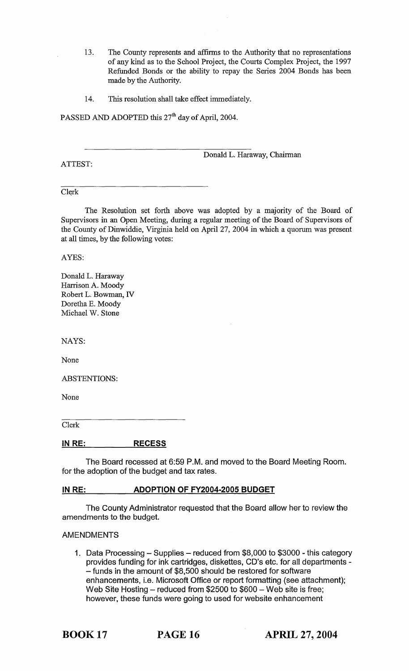- 13. The County represents and affinns to the Authority that no representations of any kind as to the School Project, the Courts Complex Project, the 1997 Refunded Bonds or the ability to repay the Series 2004 Bonds has been made by the Authority.
- 14. This resolution shall take effect immediately.

PASSED AND ADOPTED this 27<sup>th</sup> day of April, 2004.

ATTEST:

Donald L. Haraway, Chairman

Clerk

The Resolution set forth above was adopted by a majority of the Board of Supervisors in an Open Meeting, during a regular meeting of the Board of Supervisors of the County of Dinwiddie, Virginia held on April 27, 2004 in which a quorum was present at all times, by the following votes:

AYES:

Donald L. Haraway Harrison A. Moody Robert L. Bowman, IV Doretha E. Moody Michael W. Stone

NAYS:

None

ABSTENTIONS:

None

Clerk

**INRE: RECESS** 

The Board recessed at 6:59 P.M. and moved to the Board Meeting Room. for the adoption of the budget and tax rates.

#### **IN RE: ADOPTION OF FY2004-2005 BUDGET**

The County Administrator requested that the Board allow her to review the amendments to the budget.

# AMENDMENTS

1. Data Processing - Supplies - reduced from \$8,000 to \$3000 - this category provides funding for ink cartridges, diskettes, CD's etc. for all departments -  $-$  funds in the amount of \$8,500 should be restored for software enhancements, i.e. Microsoft Office or report formatting (see attachment); Web Site Hosting - reduced from \$2500 to \$600 - Web site is free; however, these funds were going to used for website enhancement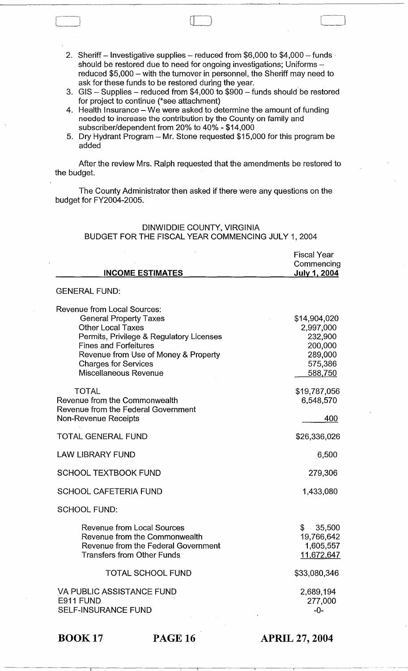2. Sheriff - Investigative supplies - reduced from \$6,000 to \$4,000 - funds should be restored due to need for ongoing investigations; Uniforms reduced \$5,000 - with the turnover in personnel, the Sheriff may need to ask for these funds to be restored during the year.

L\_J

- 3. GIS Supplies reduced from  $$4,000$  to  $$900$  funds should be restored for project to continue (\*see attachment)
- 4. Health Insurance We were asked to determine the amount of funding needed to increase the contribution by the County on family and subscriber/dependent from 20% to 40% - \$14,000
- 5. Dry Hydrant Program Mr. Stone requested \$15,000 for this program be added

After the review Mrs. Ralph requested that the amendments be restored to the budget.

The County Administrator then asked if there were any questions on the budget for FY2004-2005.

## DINWIDDIE COUNTY, VIRGINIA BUDGET FOR THE FISCAL YEAR COMMENCING JULY 1,2004

| <b>INCOME ESTIMATES</b>                                                                                                                                                                                                                                                     | <b>Fiscal Year</b><br>Commencing<br>July 1, 2004                                 |
|-----------------------------------------------------------------------------------------------------------------------------------------------------------------------------------------------------------------------------------------------------------------------------|----------------------------------------------------------------------------------|
| <b>GENERAL FUND:</b>                                                                                                                                                                                                                                                        |                                                                                  |
| <b>Revenue from Local Sources:</b><br><b>General Property Taxes</b><br><b>Other Local Taxes</b><br>Permits, Privilege & Regulatory Licenses<br><b>Fines and Forfeitures</b><br>Revenue from Use of Money & Property<br><b>Charges for Services</b><br>Miscellaneous Revenue | \$14,904,020<br>2,997,000<br>232,900<br>200,000<br>289,000<br>575,386<br>588,750 |
| <b>TOTAL</b><br>Revenue from the Commonwealth<br>Revenue from the Federal Government<br>Non-Revenue Receipts                                                                                                                                                                | \$19,787,056<br>6,548,570<br>400                                                 |
| TOTAL GENERAL FUND                                                                                                                                                                                                                                                          | \$26,336,026                                                                     |
| <b>LAW LIBRARY FUND</b>                                                                                                                                                                                                                                                     | 6,500                                                                            |
| <b>SCHOOL TEXTBOOK FUND</b>                                                                                                                                                                                                                                                 | 279,306                                                                          |
| <b>SCHOOL CAFETERIA FUND</b>                                                                                                                                                                                                                                                | 1,433,080                                                                        |
| <b>SCHOOL FUND:</b>                                                                                                                                                                                                                                                         |                                                                                  |

| Revenue from Local Sources          | 35.500       |
|-------------------------------------|--------------|
| Revenue from the Commonwealth       | 19,766,642   |
| Revenue from the Federal Government | 1,605,557    |
| <b>Transfers from Other Funds</b>   | 11,672,647   |
| <b>TOTAL SCHOOL FUND</b>            | \$33,080,346 |
|                                     |              |

| VA PUBLIC ASSISTANCE FUND  | 2,689,194 |
|----------------------------|-----------|
| E911 FUND                  | 277,000   |
| <b>SELF-INSURANCE FUND</b> | -0-       |

BOOK 17 **PAGE 16** 

**APRIL** 27, **2004**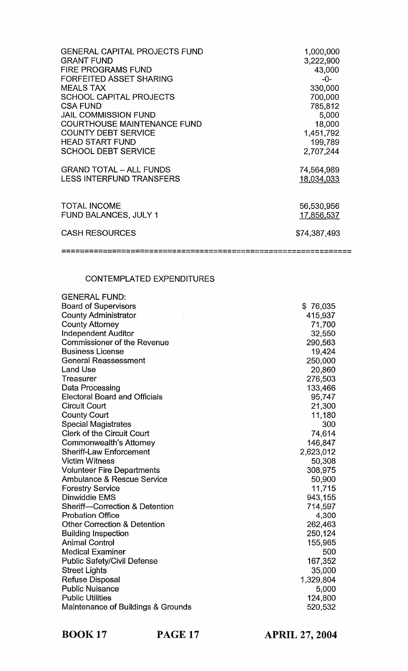| <b>GENERAL CAPITAL PROJECTS FUND</b> | 1,000,000    |
|--------------------------------------|--------------|
| <b>GRANT FUND</b>                    | 3,222,900    |
| <b>FIRE PROGRAMS FUND</b>            | 43,000       |
| <b>FORFEITED ASSET SHARING</b>       | $-0-$        |
| <b>MEALS TAX</b>                     | 330,000      |
| <b>SCHOOL CAPITAL PROJECTS</b>       | 700,000      |
| <b>CSA FUND</b>                      | 785,812      |
| <b>JAIL COMMISSION FUND</b>          | 5,000        |
| <b>COURTHOUSE MAINTENANCE FUND</b>   | 18,000       |
| <b>COUNTY DEBT SERVICE</b>           | 1,451,792    |
| <b>HEAD START FUND</b>               | 199,789      |
| <b>SCHOOL DEBT SERVICE</b>           | 2,707,244    |
| <b>GRAND TOTAL - ALL FUNDS</b>       | 74,564,989   |
| <b>LESS INTERFUND TRANSFERS</b>      | 18,034,033   |
|                                      |              |
| <b>TOTAL INCOME</b>                  | 56,530,956   |
| FUND BALANCES, JULY 1                | 17,856,537   |
|                                      |              |
| <b>CASH RESOURCES</b>                | \$74,387,493 |
|                                      |              |

**--------------------------------------------------------------- ---------------------------------------------------------------**

# CONTEMPLATED EXPENDITURES

| <b>GENERAL FUND:</b>                      |           |
|-------------------------------------------|-----------|
| <b>Board of Supervisors</b>               | \$76,035  |
| <b>County Administrator</b>               | 415,937   |
| <b>County Attorney</b>                    | 71,700    |
| <b>Independent Auditor</b>                | 32,550    |
| <b>Commissioner of the Revenue</b>        | 290,563   |
| <b>Business License</b>                   | 19,424    |
| <b>General Reassessment</b>               | 250,000   |
| <b>Land Use</b>                           | 20,860    |
| Treasurer                                 | 276,503   |
| Data Processing                           | 133,466   |
| <b>Electoral Board and Officials</b>      | 95,747    |
| <b>Circuit Court</b>                      | 21,300    |
| <b>County Court</b>                       | 11,180    |
| <b>Special Magistrates</b>                | 300       |
| <b>Clerk of the Circuit Court</b>         | 74,614    |
| Commonwealth's Attorney                   | 146,847   |
| <b>Sheriff-Law Enforcement</b>            | 2,623,012 |
| <b>Victim Witness</b>                     | 50,308    |
| <b>Volunteer Fire Departments</b>         | 308,975   |
| <b>Ambulance &amp; Rescue Service</b>     | 50,900    |
| <b>Forestry Service</b>                   | 11,715    |
| Dinwiddie EMS                             | 943,155   |
| <b>Sheriff-Correction &amp; Detention</b> | 714,597   |
| <b>Probation Office</b>                   | 4,300     |
| <b>Other Correction &amp; Detention</b>   | 262,463   |
| <b>Building Inspection</b>                | 250,124   |
| <b>Animal Control</b>                     | 155,965   |
| <b>Medical Examiner</b>                   | 500       |
| <b>Public Safety/Civil Defense</b>        | 167,352   |
| <b>Street Lights</b>                      | 35,000    |
| <b>Refuse Disposal</b>                    | 1,329,804 |
| <b>Public Nuisance</b>                    | 5,000     |
| <b>Public Utilities</b>                   | 124,800   |
| Maintenance of Buildings & Grounds        | 520,532   |
|                                           |           |

BOOK 17 PAGE **17** 

**APRIL** 27, **2004**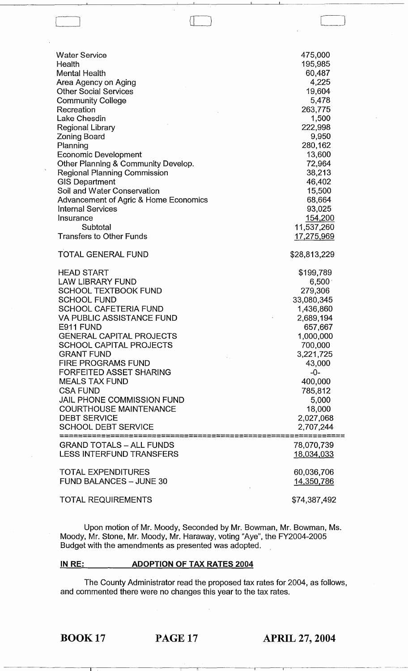| <b>Water Service</b>                                         | 475,000      |
|--------------------------------------------------------------|--------------|
| Health                                                       | 195,985      |
| <b>Mental Health</b>                                         | 60,487       |
| Area Agency on Aging                                         | 4,225        |
| <b>Other Social Services</b>                                 | 19,604       |
| <b>Community College</b>                                     | 5,478        |
| Recreation                                                   | 263,775      |
| Lake Chesdin                                                 | 1,500        |
| <b>Regional Library</b>                                      | 222,998      |
| <b>Zoning Board</b>                                          | 9,950        |
| Planning                                                     | 280,162      |
| <b>Economic Development</b>                                  | 13,600       |
| Other Planning & Community Develop.                          | 72,964       |
| <b>Regional Planning Commission</b>                          | 38,213       |
| <b>GIS Department</b>                                        | 46,402       |
| Soil and Water Conservation                                  | 15,500       |
| Advancement of Agric & Home Economics                        | 68,664       |
| <b>Internal Services</b>                                     | 93,025       |
| Insurance                                                    | 154,200      |
| Subtotal                                                     | 11,537,260   |
| <b>Transfers to Other Funds</b>                              | 17,275,969   |
|                                                              |              |
| <b>TOTAL GENERAL FUND</b>                                    | \$28,813,229 |
| <b>HEAD START</b>                                            | \$199,789    |
| <b>LAW LIBRARY FUND</b>                                      | 6,500        |
| <b>SCHOOL TEXTBOOK FUND</b>                                  | 279,306      |
| <b>SCHOOL FUND</b>                                           | 33,080,345   |
| <b>SCHOOL CAFETERIA FUND</b>                                 | 1,436,860    |
| <b>VA PUBLIC ASSISTANCE FUND</b>                             | 2,689,194    |
| E911 FUND                                                    | 657,667      |
| <b>GENERAL CAPITAL PROJECTS</b>                              | 1,000,000    |
| <b>SCHOOL CAPITAL PROJECTS</b>                               | 700,000      |
| <b>GRANT FUND</b>                                            | 3,221,725    |
| <b>FIRE PROGRAMS FUND</b>                                    | 43,000       |
| <b>FORFEITED ASSET SHARING</b>                               | $-0-$        |
| <b>MEALS TAX FUND</b>                                        | 400,000      |
| <b>CSA FUND</b>                                              | 785,812      |
| <b>JAIL PHONE COMMISSION FUND</b>                            |              |
|                                                              | 5,000        |
| <b>COURTHOUSE MAINTENANCE</b>                                | 18,000       |
| <b>DEBT SERVICE</b>                                          | 2,027,068    |
| <b>SCHOOL DEBT SERVICE</b><br>============================== | 2,707,244    |
| <b>GRAND TOTALS - ALL FUNDS</b>                              | 78,070,739   |
| <b>LESS INTERFUND TRANSFERS</b>                              | 18,034,033   |
| <b>TOTAL EXPENDITURES</b>                                    | 60,036,706   |
| <b>FUND BALANCES - JUNE 30</b>                               | 14,350,786   |
|                                                              |              |
| <b>TOTAL REQUIREMENTS</b>                                    | \$74,387,492 |

Upon motion of Mr. Moody, Seconded by Mr. Bowman, Mr. Bowman, Ms. Moody, Mr. Stone, Mr. Moody, Mr. Haraway, voting "Aye", the FY2004-2005 Budget with the amendments as presented was adopted.

# IN RE: ADOPTION OF TAX RATES 2004

The County Administrator read the proposed tax rates for 2004, as follows, and commented there were no changes this year to the tax rates.

 $\Box$ 

BOOK 17 PAGE 17 APRIL 27, 2004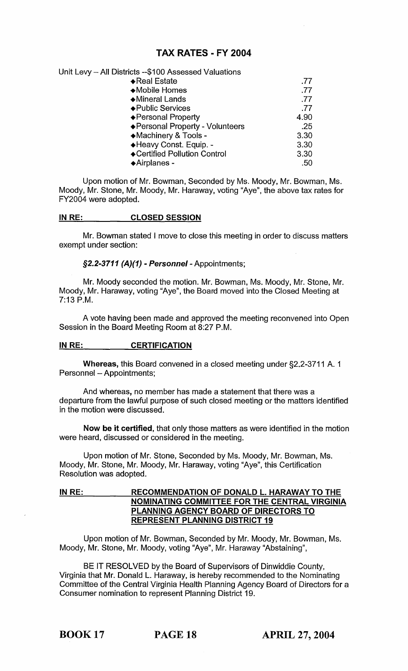# TAX RATES - FY 2004

| Unit Levy - All Districts --\$100 Assessed Valuations |      |
|-------------------------------------------------------|------|
| ◆Real Estate                                          | .77  |
| ◆Mobile Homes                                         | .77  |
| ◆Mineral Lands                                        | .77  |
| ◆ Public Services                                     | .77  |
| ◆ Personal Property                                   | 4.90 |
| ◆ Personal Property - Volunteers                      | .25  |
| ◆Machinery & Tools -                                  | 3.30 |
| ◆Heavy Const. Equip. -                                | 3.30 |
| ◆Certified Pollution Control                          | 3.30 |
| ◆Airplanes -                                          | .50  |

Upon motion of Mr. Bowman, Seconded by Ms. Moody, Mr. Bowman, Ms. Moody, Mr. Stone, Mr. Moody, Mr. Haraway, voting "Aye", the above tax rates for FY2004 were adopted.

## IN RE: CLOSED SESSION

Mr. Bowman stated I move to close this meeting in order to discuss matters exempt under section:

## $$2.2-3711$  (A)(1) - Personnel - Appointments;

Mr. Moody seconded the motion. Mr. Bowman, Ms. Moody, Mr. Stone, Mr. Moody, Mr. Haraway, voting "Aye", the Board moved into the Closed Meeting at 7:13 P.M.

A vote having been made and approved the meeting reconvened into Open Session in the Board Meeting Room at 8:27 P.M.

## IN RE: CERTIFICATION

Whereas, this Board convened in a closed meeting under §2.2-3711 A. 1 Personnel - Appointments;

And whereas, no member has made a statement that there was a departure from the lawful purpose of such closed meeting or the matters identified in the motion were discussed.

Now be it certified, that only those matters as were identified in the motion were heard, discussed or considered in the meeting.

Upon motion of Mr. Stone, Seconded by Ms. Moody, Mr. Bowman, Ms. Moody, Mr. Stone, Mr. Moody, Mr. Haraway, voting "Aye", this Certification Resolution was adopted.

# IN RE: RECOMMENDATION OF DONALD L. HARAWAY TO THE NOMINATING COMMITTEE FOR THE CENTRAL VIRGINIA PLANNING AGENCY BOARD OF DIRECTORS TO REPRESENT PLANNING DISTRICT 19

Upon motion of Mr. Bowman, Seconded by Mr. Moody, Mr. Bowman, Ms. Moody, Mr. Stone, Mr. Moody, voting "Aye", Mr. Haraway "Abstaining",

BE IT RESOLVED by the Board of Supervisors of Dinwiddie County, Virginia that Mr. Donald L. Haraway, is hereby recommended to the Nominating Committee of the Central Virginia Health Planning Agency Board of Directors for a Consumer nomination to represent Planning District 19.

BOOK 17 PAGE 18 APRIL 27, 2004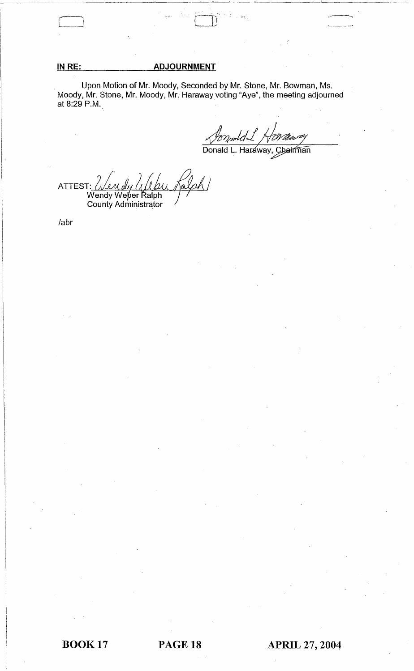$\overline{a}$ 

 $\begin{pmatrix} 1 & 1 \\ 1 & 1 \end{pmatrix}$ 

## **IN RE: ADJOURNMENT**

Upon Motion of Mr. Moody, Seconded by Mr. Stone, Mr. Bowman, Ms. Moody, Mr. Stone, Mr. Moody, Mr. Haraway voting "Aye", the meeting adjourned at 8:29 P.M. .

 $\Box$ 

Donald L. Haraway, Chairman

-~

ATTEST: <u>*New dy (II bi*<br>Wendy Weber Ralph</u><br>County Administrator

labr